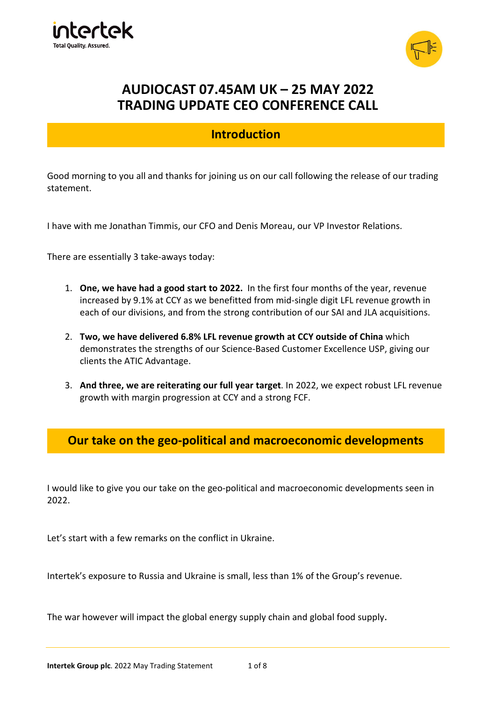



# AUDIOCAST 07.45AM UK – 25 MAY 2022 TRADING UPDATE CEO CONFERENCE CALL

## Introduction

Good morning to you all and thanks for joining us on our call following the release of our trading statement.

I have with me Jonathan Timmis, our CFO and Denis Moreau, our VP Investor Relations.

There are essentially 3 take-aways today:

- 1. One, we have had a good start to 2022. In the first four months of the year, revenue increased by 9.1% at CCY as we benefitted from mid-single digit LFL revenue growth in each of our divisions, and from the strong contribution of our SAI and JLA acquisitions.
- 2. Two, we have delivered 6.8% LFL revenue growth at CCY outside of China which demonstrates the strengths of our Science-Based Customer Excellence USP, giving our clients the ATIC Advantage.
- 3. And three, we are reiterating our full year target. In 2022, we expect robust LFL revenue growth with margin progression at CCY and a strong FCF.

#### Our take on the geo-political and macroeconomic developments

I would like to give you our take on the geo-political and macroeconomic developments seen in 2022.

Let's start with a few remarks on the conflict in Ukraine.

Intertek's exposure to Russia and Ukraine is small, less than 1% of the Group's revenue.

The war however will impact the global energy supply chain and global food supply.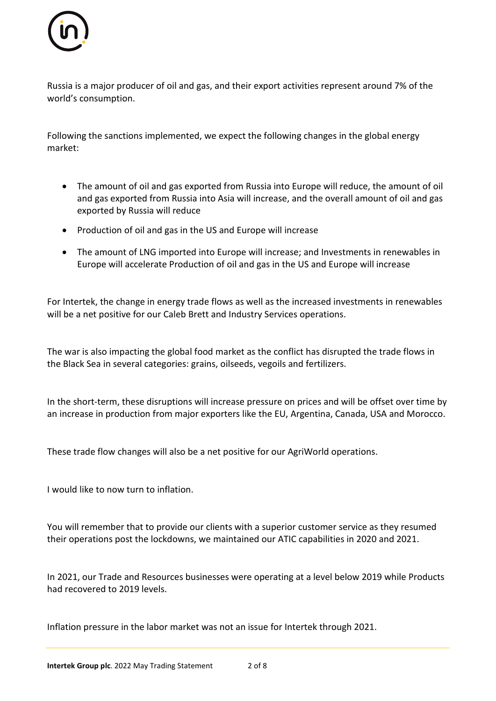

Russia is a major producer of oil and gas, and their export activities represent around 7% of the world's consumption.

Following the sanctions implemented, we expect the following changes in the global energy market:

- The amount of oil and gas exported from Russia into Europe will reduce, the amount of oil and gas exported from Russia into Asia will increase, and the overall amount of oil and gas exported by Russia will reduce
- Production of oil and gas in the US and Europe will increase
- The amount of LNG imported into Europe will increase; and Investments in renewables in Europe will accelerate Production of oil and gas in the US and Europe will increase

For Intertek, the change in energy trade flows as well as the increased investments in renewables will be a net positive for our Caleb Brett and Industry Services operations.

The war is also impacting the global food market as the conflict has disrupted the trade flows in the Black Sea in several categories: grains, oilseeds, vegoils and fertilizers.

In the short-term, these disruptions will increase pressure on prices and will be offset over time by an increase in production from major exporters like the EU, Argentina, Canada, USA and Morocco.

These trade flow changes will also be a net positive for our AgriWorld operations.

I would like to now turn to inflation.

You will remember that to provide our clients with a superior customer service as they resumed their operations post the lockdowns, we maintained our ATIC capabilities in 2020 and 2021.

In 2021, our Trade and Resources businesses were operating at a level below 2019 while Products had recovered to 2019 levels.

Inflation pressure in the labor market was not an issue for Intertek through 2021.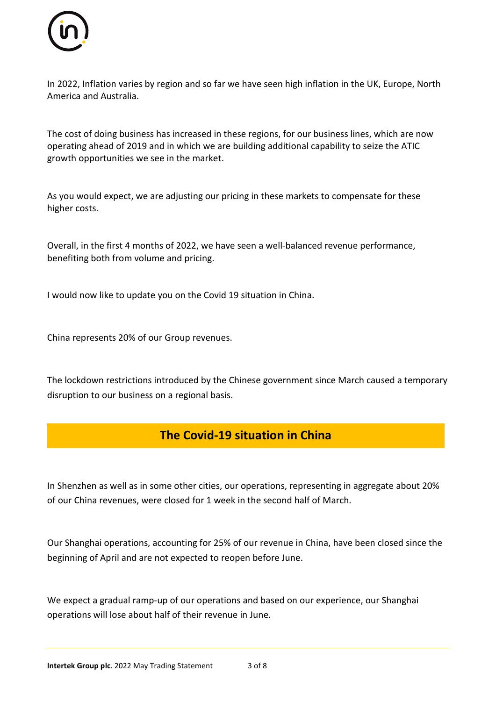

In 2022, Inflation varies by region and so far we have seen high inflation in the UK, Europe, North America and Australia.

The cost of doing business has increased in these regions, for our business lines, which are now operating ahead of 2019 and in which we are building additional capability to seize the ATIC growth opportunities we see in the market.

As you would expect, we are adjusting our pricing in these markets to compensate for these higher costs.

Overall, in the first 4 months of 2022, we have seen a well-balanced revenue performance, benefiting both from volume and pricing.

I would now like to update you on the Covid 19 situation in China.

China represents 20% of our Group revenues.

The lockdown restrictions introduced by the Chinese government since March caused a temporary disruption to our business on a regional basis.

#### The Covid-19 situation in China

In Shenzhen as well as in some other cities, our operations, representing in aggregate about 20% of our China revenues, were closed for 1 week in the second half of March.

Our Shanghai operations, accounting for 25% of our revenue in China, have been closed since the beginning of April and are not expected to reopen before June.

We expect a gradual ramp-up of our operations and based on our experience, our Shanghai operations will lose about half of their revenue in June.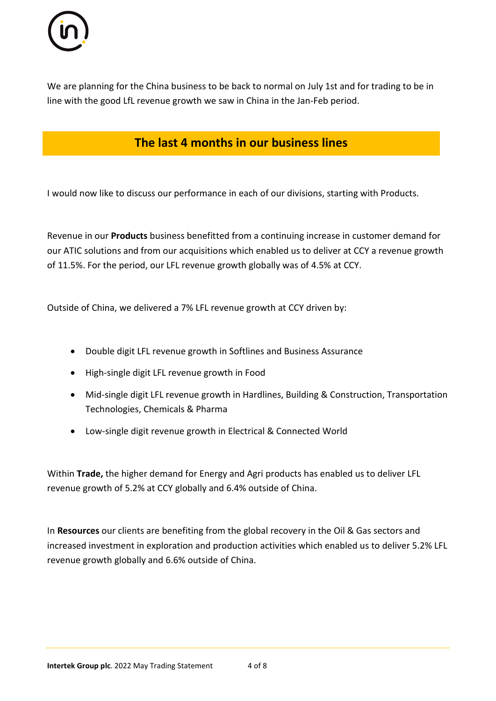

We are planning for the China business to be back to normal on July 1st and for trading to be in line with the good LfL revenue growth we saw in China in the Jan-Feb period.

### The last 4 months in our business lines

I would now like to discuss our performance in each of our divisions, starting with Products.

Revenue in our Products business benefitted from a continuing increase in customer demand for our ATIC solutions and from our acquisitions which enabled us to deliver at CCY a revenue growth of 11.5%. For the period, our LFL revenue growth globally was of 4.5% at CCY.

Outside of China, we delivered a 7% LFL revenue growth at CCY driven by:

- Double digit LFL revenue growth in Softlines and Business Assurance
- High-single digit LFL revenue growth in Food
- Mid-single digit LFL revenue growth in Hardlines, Building & Construction, Transportation Technologies, Chemicals & Pharma
- Low-single digit revenue growth in Electrical & Connected World

Within Trade, the higher demand for Energy and Agri products has enabled us to deliver LFL revenue growth of 5.2% at CCY globally and 6.4% outside of China.

In Resources our clients are benefiting from the global recovery in the Oil & Gas sectors and increased investment in exploration and production activities which enabled us to deliver 5.2% LFL revenue growth globally and 6.6% outside of China.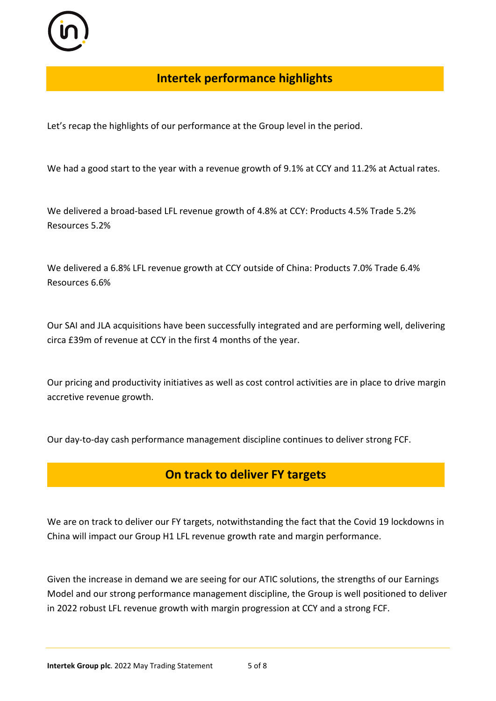

## Intertek performance highlights

Let's recap the highlights of our performance at the Group level in the period.

We had a good start to the year with a revenue growth of 9.1% at CCY and 11.2% at Actual rates.

We delivered a broad-based LFL revenue growth of 4.8% at CCY: Products 4.5% Trade 5.2% Resources 5.2%

We delivered a 6.8% LFL revenue growth at CCY outside of China: Products 7.0% Trade 6.4% Resources 6.6%

Our SAI and JLA acquisitions have been successfully integrated and are performing well, delivering circa £39m of revenue at CCY in the first 4 months of the year.

Our pricing and productivity initiatives as well as cost control activities are in place to drive margin accretive revenue growth.

Our day-to-day cash performance management discipline continues to deliver strong FCF.

### On track to deliver FY targets

We are on track to deliver our FY targets, notwithstanding the fact that the Covid 19 lockdowns in China will impact our Group H1 LFL revenue growth rate and margin performance.

Given the increase in demand we are seeing for our ATIC solutions, the strengths of our Earnings Model and our strong performance management discipline, the Group is well positioned to deliver in 2022 robust LFL revenue growth with margin progression at CCY and a strong FCF.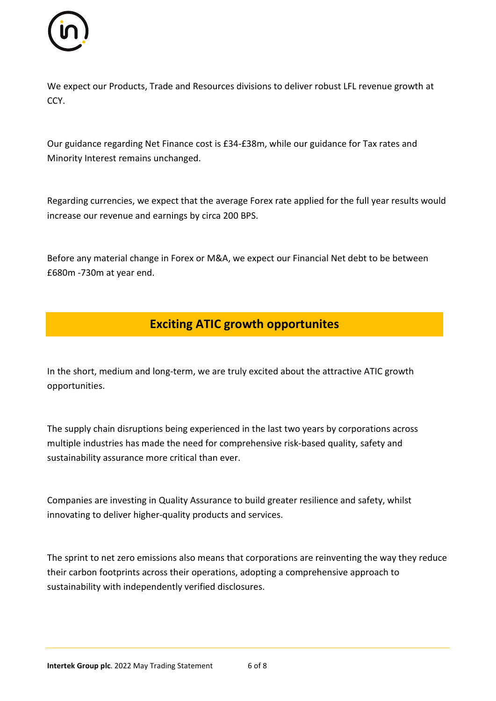

We expect our Products, Trade and Resources divisions to deliver robust LFL revenue growth at CCY.

Our guidance regarding Net Finance cost is £34-£38m, while our guidance for Tax rates and Minority Interest remains unchanged.

Regarding currencies, we expect that the average Forex rate applied for the full year results would increase our revenue and earnings by circa 200 BPS.

Before any material change in Forex or M&A, we expect our Financial Net debt to be between £680m -730m at year end.

## Exciting ATIC growth opportunites

In the short, medium and long-term, we are truly excited about the attractive ATIC growth opportunities.

The supply chain disruptions being experienced in the last two years by corporations across multiple industries has made the need for comprehensive risk-based quality, safety and sustainability assurance more critical than ever.

Companies are investing in Quality Assurance to build greater resilience and safety, whilst innovating to deliver higher-quality products and services.

The sprint to net zero emissions also means that corporations are reinventing the way they reduce their carbon footprints across their operations, adopting a comprehensive approach to sustainability with independently verified disclosures.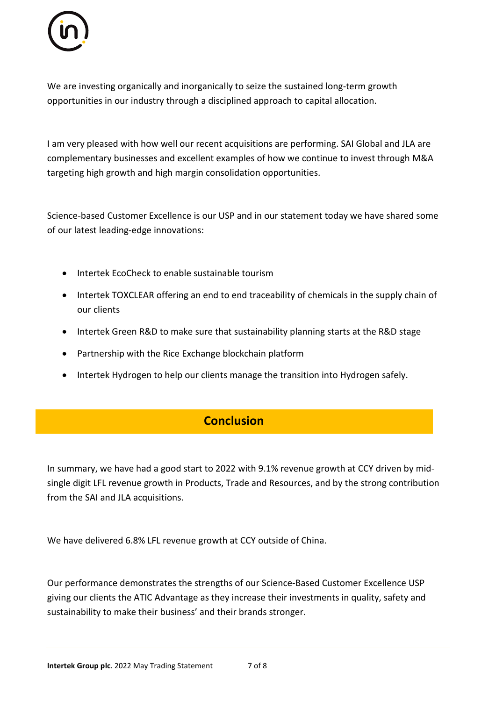

We are investing organically and inorganically to seize the sustained long-term growth opportunities in our industry through a disciplined approach to capital allocation.

I am very pleased with how well our recent acquisitions are performing. SAI Global and JLA are complementary businesses and excellent examples of how we continue to invest through M&A targeting high growth and high margin consolidation opportunities.

Science-based Customer Excellence is our USP and in our statement today we have shared some of our latest leading-edge innovations:

- Intertek EcoCheck to enable sustainable tourism
- Intertek TOXCLEAR offering an end to end traceability of chemicals in the supply chain of our clients
- Intertek Green R&D to make sure that sustainability planning starts at the R&D stage
- Partnership with the Rice Exchange blockchain platform
- Intertek Hydrogen to help our clients manage the transition into Hydrogen safely.

#### **Conclusion**

In summary, we have had a good start to 2022 with 9.1% revenue growth at CCY driven by midsingle digit LFL revenue growth in Products, Trade and Resources, and by the strong contribution from the SAI and JLA acquisitions.

We have delivered 6.8% LFL revenue growth at CCY outside of China.

Our performance demonstrates the strengths of our Science-Based Customer Excellence USP giving our clients the ATIC Advantage as they increase their investments in quality, safety and sustainability to make their business' and their brands stronger.